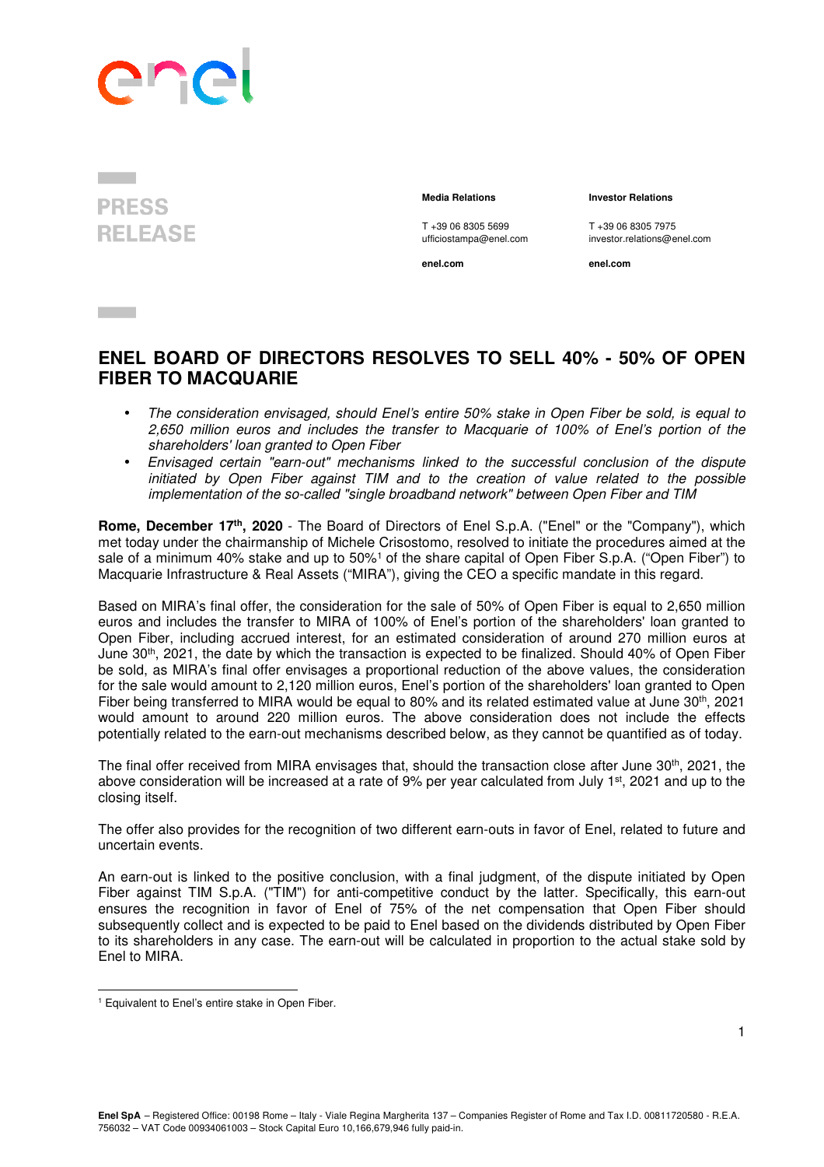

**PRESS RELEASE** 

 **Media Relations Investor Relations** 

T +39 06 8305 5699 T +39 06 8305 7975<br>
ufficiostampa@enel.com investor.relations@e

**enel.com enel.com**

investor.relations@enel.com

## **ENEL BOARD OF DIRECTORS RESOLVES TO SELL 40% - 50% OF OPEN FIBER TO MACQUARIE**

- The consideration envisaged, should Enel's entire 50% stake in Open Fiber be sold, is equal to 2,650 million euros and includes the transfer to Macquarie of 100% of Enel's portion of the shareholders' loan granted to Open Fiber
- Envisaged certain "earn-out" mechanisms linked to the successful conclusion of the dispute initiated by Open Fiber against TIM and to the creation of value related to the possible implementation of the so-called "single broadband network" between Open Fiber and TIM

**Rome, December 17th, 2020** - The Board of Directors of Enel S.p.A. ("Enel" or the "Company"), which met today under the chairmanship of Michele Crisostomo, resolved to initiate the procedures aimed at the sale of a minimum 40% stake and up to 50%<sup>1</sup> of the share capital of Open Fiber S.p.A. ("Open Fiber") to Macquarie Infrastructure & Real Assets ("MIRA"), giving the CEO a specific mandate in this regard.

Based on MIRA's final offer, the consideration for the sale of 50% of Open Fiber is equal to 2,650 million euros and includes the transfer to MIRA of 100% of Enel's portion of the shareholders' loan granted to Open Fiber, including accrued interest, for an estimated consideration of around 270 million euros at June 30th, 2021, the date by which the transaction is expected to be finalized. Should 40% of Open Fiber be sold, as MIRA's final offer envisages a proportional reduction of the above values, the consideration for the sale would amount to 2,120 million euros, Enel's portion of the shareholders' loan granted to Open Fiber being transferred to MIRA would be equal to 80% and its related estimated value at June 30<sup>th</sup>, 2021 would amount to around 220 million euros. The above consideration does not include the effects potentially related to the earn-out mechanisms described below, as they cannot be quantified as of today.

The final offer received from MIRA envisages that, should the transaction close after June 30<sup>th</sup>, 2021, the above consideration will be increased at a rate of 9% per year calculated from July 1<sup>st</sup>, 2021 and up to the closing itself.

The offer also provides for the recognition of two different earn-outs in favor of Enel, related to future and uncertain events.

An earn-out is linked to the positive conclusion, with a final judgment, of the dispute initiated by Open Fiber against TIM S.p.A. ("TIM") for anti-competitive conduct by the latter. Specifically, this earn-out ensures the recognition in favor of Enel of 75% of the net compensation that Open Fiber should subsequently collect and is expected to be paid to Enel based on the dividends distributed by Open Fiber to its shareholders in any case. The earn-out will be calculated in proportion to the actual stake sold by Enel to MIRA.

l

<sup>&</sup>lt;sup>1</sup> Equivalent to Enel's entire stake in Open Fiber.